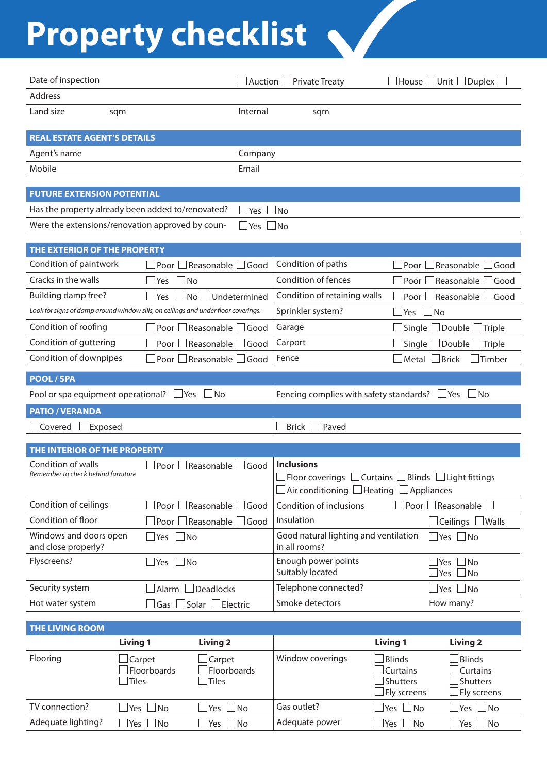## Property checklist

| Date of inspection                                                                 |                                                     |                                    | $\Box$ Auction $\Box$ Private Treaty                   | $\Box$ House $\Box$ Unit $\Box$ Duplex $\Box$                                                            |
|------------------------------------------------------------------------------------|-----------------------------------------------------|------------------------------------|--------------------------------------------------------|----------------------------------------------------------------------------------------------------------|
| Address                                                                            |                                                     |                                    |                                                        |                                                                                                          |
| Land size                                                                          | sqm                                                 | Internal                           | sqm                                                    |                                                                                                          |
| <b>REAL ESTATE AGENT'S DETAILS</b>                                                 |                                                     |                                    |                                                        |                                                                                                          |
| Agent's name                                                                       |                                                     | Company                            |                                                        |                                                                                                          |
| Mobile                                                                             |                                                     | Email                              |                                                        |                                                                                                          |
|                                                                                    |                                                     |                                    |                                                        |                                                                                                          |
| <b>FUTURE EXTENSION POTENTIAL</b>                                                  |                                                     |                                    |                                                        |                                                                                                          |
| Has the property already been added to/renovated?                                  |                                                     | Yes $\Box$ No                      |                                                        |                                                                                                          |
| Were the extensions/renovation approved by coun-                                   |                                                     | <b>Yes</b>                         | $\Box$ No                                              |                                                                                                          |
| THE EXTERIOR OF THE PROPERTY                                                       |                                                     |                                    |                                                        |                                                                                                          |
| Condition of paintwork                                                             | Poor                                                | Reasonable L<br>$\Box$ Good        | Condition of paths                                     | $\Box$ Reasonable<br>Good<br>Poor                                                                        |
| Cracks in the walls                                                                | Yes                                                 | No                                 | Condition of fences                                    | Reasonable<br>Poor<br>Good                                                                               |
| Building damp free?                                                                | $\exists$ Yes                                       | No Undetermined                    | Condition of retaining walls                           | Reasonable<br>Good<br>Poor                                                                               |
| Look for signs of damp around window sills, on ceilings and under floor coverings. |                                                     |                                    | Sprinkler system?                                      | Yes<br>$\Box$ No                                                                                         |
| Condition of roofing                                                               | Poor                                                | Reasonable<br>Good                 | Garage                                                 | Double<br>Single<br><b>Triple</b>                                                                        |
| Condition of guttering                                                             | Poor                                                | Reasonable<br>Good                 | Carport                                                | Double<br>Single<br>Triple                                                                               |
| Condition of downpipes                                                             | Poor                                                | Reasonable  <br>$\Box$ Good        | Fence                                                  | Metal<br><b>Brick</b><br>Timber                                                                          |
| <b>POOL / SPA</b>                                                                  |                                                     |                                    |                                                        |                                                                                                          |
| Pool or spa equipment operational?                                                 | $\Box$ Yes                                          | ⊿No                                | Fencing complies with safety standards?                | $\Box$ No<br>$\sqcup$ Yes                                                                                |
| <b>PATIO / VERANDA</b>                                                             |                                                     |                                    |                                                        |                                                                                                          |
|                                                                                    |                                                     |                                    |                                                        |                                                                                                          |
| Covered<br>Exposed                                                                 |                                                     |                                    | Paved<br><b>Brick</b>                                  |                                                                                                          |
| THE INTERIOR OF THE PROPERTY                                                       |                                                     |                                    |                                                        |                                                                                                          |
| Condition of walls                                                                 | Poor                                                | Reasonable □ Good                  | <b>Inclusions</b>                                      |                                                                                                          |
| Remember to check behind furniture                                                 |                                                     |                                    |                                                        | $\Box$ Floor coverings $\Box$ Curtains $\Box$ Blinds $\Box$ Light fittings                               |
|                                                                                    |                                                     |                                    | Air conditioning $\Box$ Heating                        | $\Box$ Appliances                                                                                        |
| Condition of ceilings                                                              |                                                     | Poor $\Box$ Reasonable $\Box$ Good | Condition of inclusions                                | $\Box$ Poor $\Box$ Reasonable                                                                            |
| Condition of floor                                                                 | Poor $\Box$                                         | Reasonable<br>$\Box$ Good          | Insulation                                             | Ceilings l<br>$\sqcup$ Walls                                                                             |
| Windows and doors open<br>and close properly?                                      | $\Box$ No<br>$\Box$ Yes                             |                                    | Good natural lighting and ventilation<br>in all rooms? | $\Box$ Yes $\Box$ No                                                                                     |
| Flyscreens?                                                                        | $\Box$ No<br>Yes                                    |                                    | Enough power points<br>Suitably located                | <b>No</b><br> Yes<br>Yes<br>No                                                                           |
| Security system                                                                    | Alarm                                               | <b>Deadlocks</b>                   | Telephone connected?                                   | <b>No</b><br>$\exists$ Yes                                                                               |
| Hot water system                                                                   | Gas $ $                                             | $\exists$ Solar $\Box$ Electric    | Smoke detectors                                        | How many?                                                                                                |
|                                                                                    |                                                     |                                    |                                                        |                                                                                                          |
| <b>THE LIVING ROOM</b>                                                             |                                                     |                                    |                                                        |                                                                                                          |
|                                                                                    | <b>Living 1</b>                                     | <b>Living 2</b>                    |                                                        | <b>Living 1</b><br><b>Living 2</b>                                                                       |
| Flooring                                                                           | Carpet<br>Floorboards                               | Carpet<br>Floorboards              | Window coverings                                       | $\Box$ Blinds<br>Blinds<br><b>Curtains</b><br><b>Curtains</b>                                            |
|                                                                                    | Tiles                                               | Tiles                              |                                                        | Shutters<br>Shutters                                                                                     |
|                                                                                    |                                                     |                                    |                                                        | Fly screens<br>Fly screens                                                                               |
| TV connection?<br>Adequate lighting?                                               | $\vert$ Yes<br><b>No</b><br>$\Box$ No<br>$\Box$ Yes | Yes<br>No<br>No!<br><b>Yes</b>     | Gas outlet?<br>Adequate power                          | $\exists$ Yes $\Box$ No<br>$\Box$ Yes<br><b>No</b><br>$\exists$ Yes $\Box$ No<br>$\Box$ No<br>$\Box$ Yes |